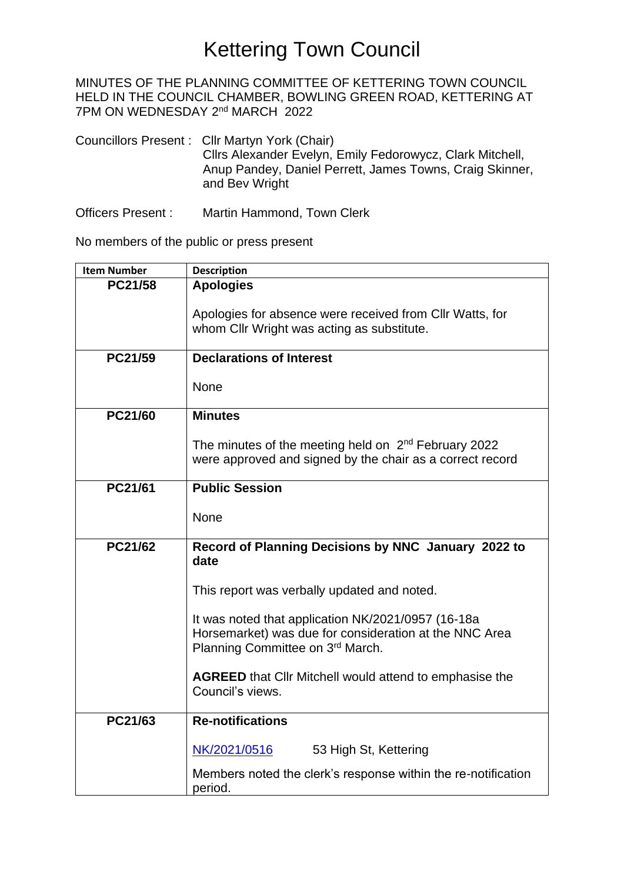## Kettering Town Council

MINUTES OF THE PLANNING COMMITTEE OF KETTERING TOWN COUNCIL HELD IN THE COUNCIL CHAMBER, BOWLING GREEN ROAD, KETTERING AT 7PM ON WEDNESDAY 2<sup>nd</sup> MARCH 2022

Councillors Present : Cllr Martyn York (Chair) Cllrs Alexander Evelyn, Emily Fedorowycz, Clark Mitchell, Anup Pandey, Daniel Perrett, James Towns, Craig Skinner, and Bev Wright

Officers Present : Martin Hammond, Town Clerk

No members of the public or press present

| <b>Item Number</b> | <b>Description</b>                                                                                                                               |
|--------------------|--------------------------------------------------------------------------------------------------------------------------------------------------|
| PC21/58            | <b>Apologies</b>                                                                                                                                 |
|                    | Apologies for absence were received from Cllr Watts, for<br>whom Cllr Wright was acting as substitute.                                           |
| PC21/59            | <b>Declarations of Interest</b>                                                                                                                  |
|                    | None                                                                                                                                             |
| PC21/60            | <b>Minutes</b>                                                                                                                                   |
|                    | The minutes of the meeting held on 2 <sup>nd</sup> February 2022<br>were approved and signed by the chair as a correct record                    |
| PC21/61            | <b>Public Session</b>                                                                                                                            |
|                    | None                                                                                                                                             |
| PC21/62            | Record of Planning Decisions by NNC January 2022 to<br>date                                                                                      |
|                    | This report was verbally updated and noted.                                                                                                      |
|                    | It was noted that application NK/2021/0957 (16-18a<br>Horsemarket) was due for consideration at the NNC Area<br>Planning Committee on 3rd March. |
|                    | <b>AGREED</b> that Cllr Mitchell would attend to emphasise the<br>Council's views.                                                               |
| PC21/63            | <b>Re-notifications</b>                                                                                                                          |
|                    | NK/2021/0516<br>53 High St, Kettering                                                                                                            |
|                    | Members noted the clerk's response within the re-notification<br>period.                                                                         |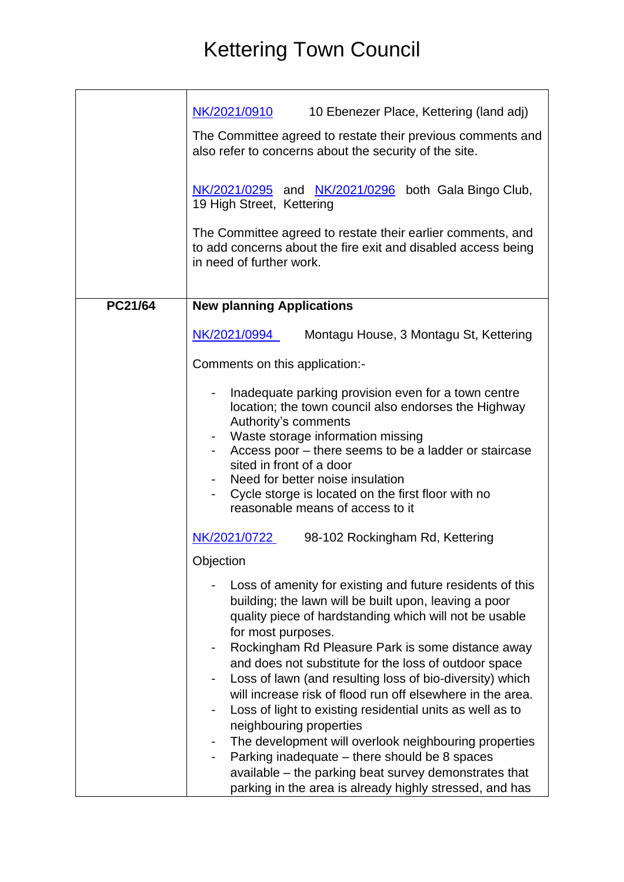## Kettering Town Council

|         | NK/2021/0910<br>10 Ebenezer Place, Kettering (land adj)<br>The Committee agreed to restate their previous comments and<br>also refer to concerns about the security of the site.<br>$NK/2021/0295$ and $NK/2021/0296$ both Gala Bingo Club,<br>19 High Street, Kettering<br>The Committee agreed to restate their earlier comments, and<br>to add concerns about the fire exit and disabled access being<br>in need of further work.                                                                                                                                                                                                                                                                                                                                                                                                                                                                                 |
|---------|----------------------------------------------------------------------------------------------------------------------------------------------------------------------------------------------------------------------------------------------------------------------------------------------------------------------------------------------------------------------------------------------------------------------------------------------------------------------------------------------------------------------------------------------------------------------------------------------------------------------------------------------------------------------------------------------------------------------------------------------------------------------------------------------------------------------------------------------------------------------------------------------------------------------|
| PC21/64 | <b>New planning Applications</b><br>NK/2021/0994<br>Montagu House, 3 Montagu St, Kettering<br>Comments on this application:-                                                                                                                                                                                                                                                                                                                                                                                                                                                                                                                                                                                                                                                                                                                                                                                         |
|         | Inadequate parking provision even for a town centre<br>location; the town council also endorses the Highway<br>Authority's comments<br>Waste storage information missing<br>Access poor – there seems to be a ladder or staircase<br>sited in front of a door<br>Need for better noise insulation<br>Cycle storge is located on the first floor with no<br>reasonable means of access to it                                                                                                                                                                                                                                                                                                                                                                                                                                                                                                                          |
|         | NK/2021/0722<br>98-102 Rockingham Rd, Kettering<br>Objection<br>Loss of amenity for existing and future residents of this<br>building; the lawn will be built upon, leaving a poor<br>quality piece of hardstanding which will not be usable<br>for most purposes.<br>Rockingham Rd Pleasure Park is some distance away<br>$\overline{\phantom{a}}$<br>and does not substitute for the loss of outdoor space<br>Loss of lawn (and resulting loss of bio-diversity) which<br>$\overline{\phantom{a}}$<br>will increase risk of flood run off elsewhere in the area.<br>Loss of light to existing residential units as well as to<br>$\overline{\phantom{a}}$<br>neighbouring properties<br>The development will overlook neighbouring properties<br>Parking inadequate - there should be 8 spaces<br>available – the parking beat survey demonstrates that<br>parking in the area is already highly stressed, and has |